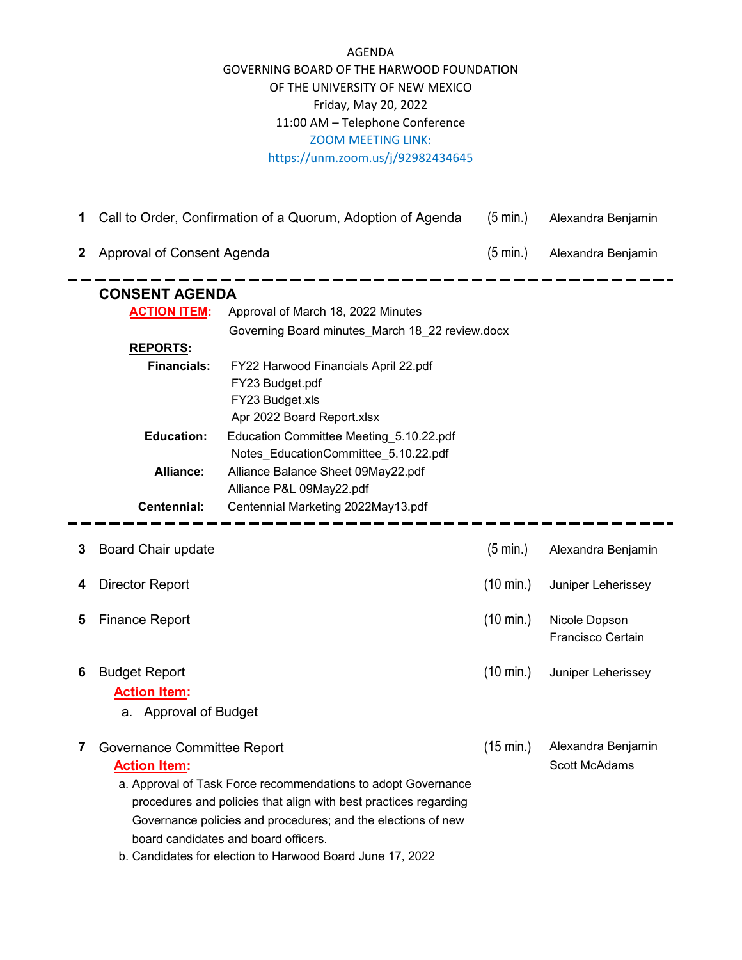## AGENDA GOVERNING BOARD OF THE HARWOOD FOUNDATION OF THE UNIVERSITY OF NEW MEXICO Friday, May 20, 2022 11:00 AM – Telephone Conference ZOOM MEETING LINK: https://unm.zoom.us/j/92982434645

|  | 1 Call to Order, Confirmation of a Quorum, Adoption of Agenda |  |  | (5 min.) Alexandra Benjamin |
|--|---------------------------------------------------------------|--|--|-----------------------------|
|--|---------------------------------------------------------------|--|--|-----------------------------|

**2** Approval of Consent Agenda (5 min.) Alexandra Benjamin

| <b>CONSENT AGENDA</b> |                                                 |  |  |  |
|-----------------------|-------------------------------------------------|--|--|--|
| <b>ACTION ITEM:</b>   | Approval of March 18, 2022 Minutes              |  |  |  |
|                       | Governing Board minutes March 18 22 review.docx |  |  |  |
| <b>REPORTS:</b>       |                                                 |  |  |  |
| <b>Financials:</b>    | FY22 Harwood Financials April 22.pdf            |  |  |  |
|                       | FY23 Budget.pdf                                 |  |  |  |
|                       | FY23 Budget.xls                                 |  |  |  |
|                       | Apr 2022 Board Report.xlsx                      |  |  |  |
| <b>Education:</b>     | Education Committee Meeting 5.10.22.pdf         |  |  |  |
|                       | Notes EducationCommittee 5.10.22.pdf            |  |  |  |
| Alliance:             | Alliance Balance Sheet 09May22.pdf              |  |  |  |
|                       | Alliance P&L 09May22.pdf                        |  |  |  |
| Centennial:           | Centennial Marketing 2022May13.pdf              |  |  |  |
|                       |                                                 |  |  |  |

| 3 | <b>Board Chair update</b>                                                                                                                                                                                                                                                                                                                                       | (5 min.)            | Alexandra Benjamin                        |
|---|-----------------------------------------------------------------------------------------------------------------------------------------------------------------------------------------------------------------------------------------------------------------------------------------------------------------------------------------------------------------|---------------------|-------------------------------------------|
|   | Director Report                                                                                                                                                                                                                                                                                                                                                 | $(10 \text{ min.})$ | Juniper Leherissey                        |
| 5 | <b>Finance Report</b>                                                                                                                                                                                                                                                                                                                                           | $(10 \text{ min.})$ | Nicole Dopson<br><b>Francisco Certain</b> |
| 6 | <b>Budget Report</b><br><b>Action Item:</b><br>a. Approval of Budget                                                                                                                                                                                                                                                                                            | (10 min.)           | Juniper Leherissey                        |
|   | Governance Committee Report<br><b>Action Item:</b><br>a. Approval of Task Force recommendations to adopt Governance<br>procedures and policies that align with best practices regarding<br>Governance policies and procedures; and the elections of new<br>board candidates and board officers.<br>L. Osasildatas fan alastian ta Hamus ad Dagod. Luca 47. 0000 | $(15 \text{ min.})$ | Alexandra Benjamin<br>Scott McAdams       |

b. Candidates for election to Harwood Board June 17, 2022